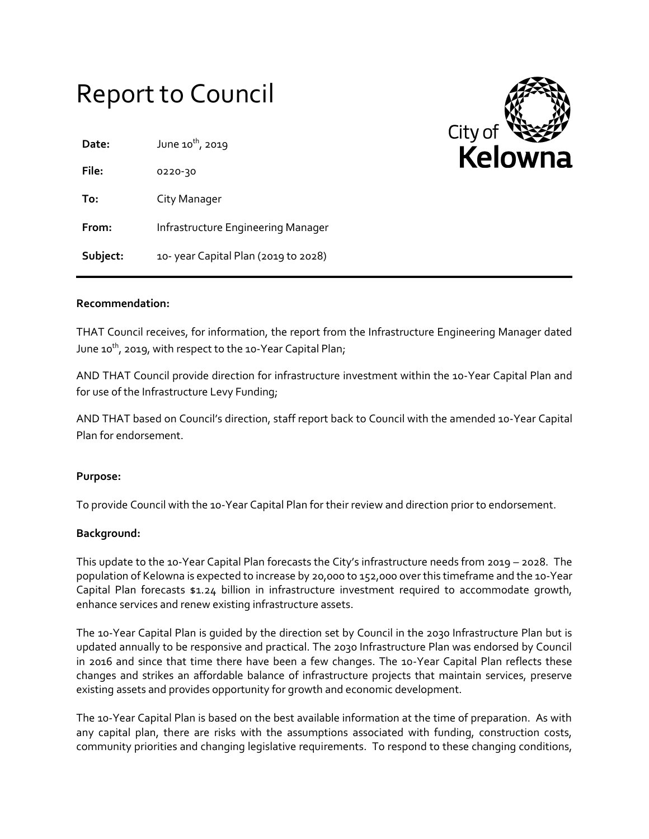# Report to Council

| Date:    | June 10 <sup>th</sup> , 2019        |
|----------|-------------------------------------|
| File:    | 0220-30                             |
| To:      | City Manager                        |
| From:    | Infrastructure Engineering Manager  |
| Subject: | 10-year Capital Plan (2019 to 2028) |



# **Recommendation:**

THAT Council receives, for information, the report from the Infrastructure Engineering Manager dated June 10<sup>th</sup>, 2019, with respect to the 10-Year Capital Plan;

AND THAT Council provide direction for infrastructure investment within the 10-Year Capital Plan and for use of the Infrastructure Levy Funding;

AND THAT based on Council's direction, staff report back to Council with the amended 10-Year Capital Plan for endorsement.

## **Purpose:**

To provide Council with the 10-Year Capital Plan for their review and direction prior to endorsement.

## **Background:**

This update to the 10-Year Capital Plan forecasts the City's infrastructure needs from 2019 – 2028. The population of Kelowna is expected to increase by 20,000 to 152,000 over this timeframe and the 10-Year Capital Plan forecasts \$1.24 billion in infrastructure investment required to accommodate growth, enhance services and renew existing infrastructure assets.

The 10-Year Capital Plan is guided by the direction set by Council in the 2030 Infrastructure Plan but is updated annually to be responsive and practical. The 2030 Infrastructure Plan was endorsed by Council in 2016 and since that time there have been a few changes. The 10-Year Capital Plan reflects these changes and strikes an affordable balance of infrastructure projects that maintain services, preserve existing assets and provides opportunity for growth and economic development.

The 10-Year Capital Plan is based on the best available information at the time of preparation. As with any capital plan, there are risks with the assumptions associated with funding, construction costs, community priorities and changing legislative requirements. To respond to these changing conditions,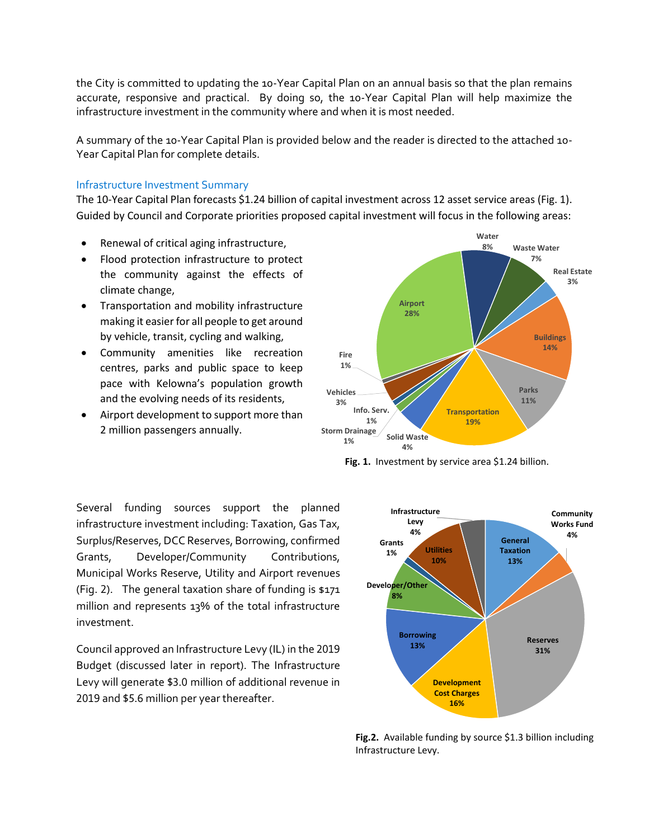the City is committed to updating the 10-Year Capital Plan on an annual basis so that the plan remains accurate, responsive and practical. By doing so, the 10-Year Capital Plan will help maximize the infrastructure investment in the community where and when it is most needed.

A summary of the 10-Year Capital Plan is provided below and the reader is directed to the attached 10- Year Capital Plan for complete details.

## Infrastructure Investment Summary

The 10-Year Capital Plan forecasts \$1.24 billion of capital investment across 12 asset service areas (Fig. 1). Guided by Council and Corporate priorities proposed capital investment will focus in the following areas:

- Renewal of critical aging infrastructure,
- Flood protection infrastructure to protect the community against the effects of climate change,
- Transportation and mobility infrastructure making it easier for all people to get around by vehicle, transit, cycling and walking,
- Community amenities like recreation centres, parks and public space to keep pace with Kelowna's population growth and the evolving needs of its residents,
- Airport development to support more than 2 million passengers annually.



**Fig. 1.** Investment by service area \$1.24 billion*.*

Several funding sources support the planned infrastructure investment including: Taxation, Gas Tax, Surplus/Reserves, DCC Reserves, Borrowing, confirmed Grants, Developer/Community Contributions, Municipal Works Reserve, Utility and Airport revenues (Fig. 2). The general taxation share of funding is \$171 million and represents 13% of the total infrastructure investment.

Council approved an Infrastructure Levy (IL) in the 2019 Budget (discussed later in report). The Infrastructure Levy will generate \$3.0 million of additional revenue in 2019 and \$5.6 million per year thereafter.



**Fig.2.** Available funding by source \$1.3 billion including Infrastructure Levy.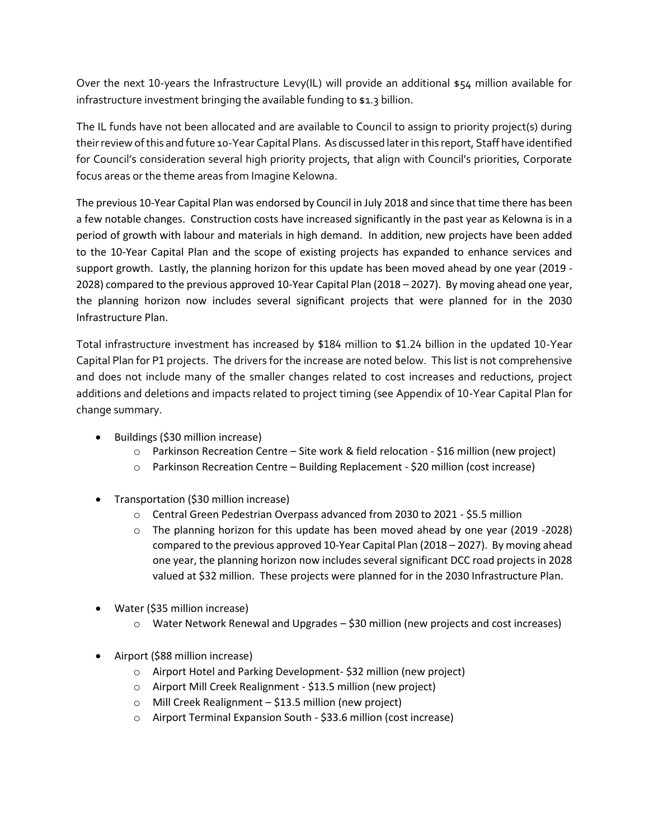Over the next 10-years the Infrastructure Levy(IL) will provide an additional \$54 million available for infrastructure investment bringing the available funding to \$1.3 billion.

The IL funds have not been allocated and are available to Council to assign to priority project(s) during their review of this and future 10-Year Capital Plans. As discussed later in this report, Staff have identified for Council's consideration several high priority projects, that align with Council's priorities, Corporate focus areas or the theme areas from Imagine Kelowna.

The previous 10-Year Capital Plan was endorsed by Council in July 2018 and since that time there has been a few notable changes. Construction costs have increased significantly in the past year as Kelowna is in a period of growth with labour and materials in high demand. In addition, new projects have been added to the 10-Year Capital Plan and the scope of existing projects has expanded to enhance services and support growth. Lastly, the planning horizon for this update has been moved ahead by one year (2019 - 2028) compared to the previous approved 10-Year Capital Plan (2018 – 2027). By moving ahead one year, the planning horizon now includes several significant projects that were planned for in the 2030 Infrastructure Plan.

Total infrastructure investment has increased by \$184 million to \$1.24 billion in the updated 10-Year Capital Plan for P1 projects. The drivers for the increase are noted below. This list is not comprehensive and does not include many of the smaller changes related to cost increases and reductions, project additions and deletions and impacts related to project timing (see Appendix of 10-Year Capital Plan for change summary.

- Buildings (\$30 million increase)
	- $\circ$  Parkinson Recreation Centre Site work & field relocation \$16 million (new project)
	- o Parkinson Recreation Centre Building Replacement \$20 million (cost increase)
- Transportation (\$30 million increase)
	- o Central Green Pedestrian Overpass advanced from 2030 to 2021 \$5.5 million
	- o The planning horizon for this update has been moved ahead by one year (2019 -2028) compared to the previous approved 10-Year Capital Plan (2018 – 2027). By moving ahead one year, the planning horizon now includes several significant DCC road projects in 2028 valued at \$32 million. These projects were planned for in the 2030 Infrastructure Plan.
- Water (\$35 million increase)
	- o Water Network Renewal and Upgrades \$30 million (new projects and cost increases)
- Airport (\$88 million increase)
	- o Airport Hotel and Parking Development- \$32 million (new project)
	- o Airport Mill Creek Realignment \$13.5 million (new project)
	- o Mill Creek Realignment \$13.5 million (new project)
	- o Airport Terminal Expansion South \$33.6 million (cost increase)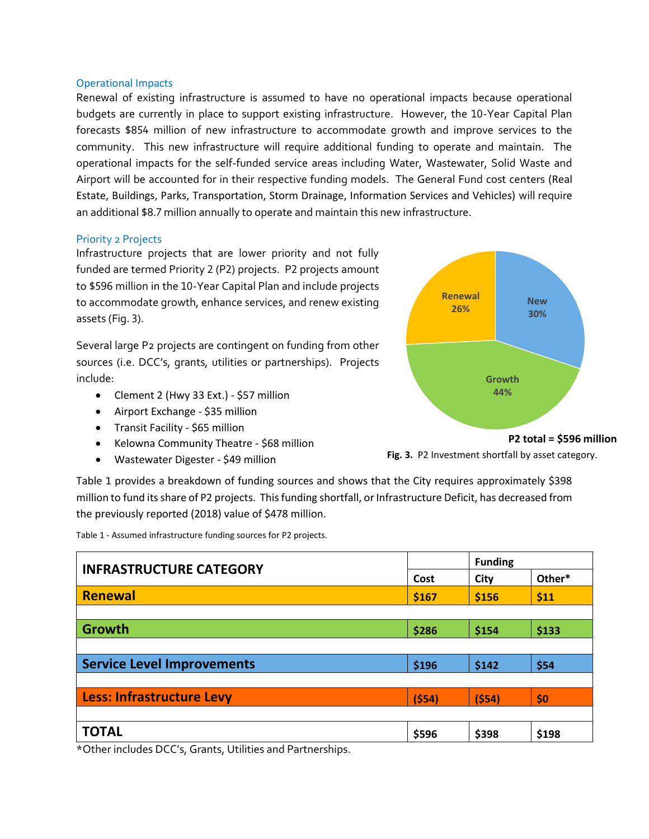#### Operational Impacts

Renewal of existing infrastructure is assumed to have no operational impacts because operational budgets are currently in place to support existing infrastructure. However, the 10-Year Capital Plan forecasts \$854 million of new infrastructure to accommodate growth and improve services to the community. This new infrastructure will require additional funding to operate and maintain. The operational impacts for the self-funded service areas including Water, Wastewater, Solid Waste and Airport will be accounted for in their respective funding models. The General Fund cost centers (Real Estate, Buildings, Parks, Transportation, Storm Drainage, Information Services and Vehicles) will require an additional \$8.7 million annually to operate and maintain this new infrastructure.

## Priority 2 Projects

Infrastructure projects that are lower priority and not fully funded are termed Priority 2 (P2) projects. P2 projects amount to \$596 million in the 10-Year Capital Plan and include projects to accommodate growth, enhance services, and renew existing assets (Fig. 3).

Several large P2 projects are contingent on funding from other sources (i.e. DCC's, grants, utilities or partnerships). Projects include:

- Clement 2 (Hwy 33 Ext.) \$57 million
- Airport Exchange \$35 million
- Transit Facility \$65 million
- Kelowna Community Theatre \$68 million
- Wastewater Digester \$49 million



**Fig. 3.** P2 Investment shortfall by asset category.

Table 1 provides a breakdown of funding sources and shows that the City requires approximately \$398 million to fund its share of P2 projects. This funding shortfall, or Infrastructure Deficit, has decreased from the previously reported (2018) value of \$478 million.

Table 1 - Assumed infrastructure funding sources for P2 projects.

| <b>INFRASTRUCTURE CATEGORY</b>    |       | <b>Funding</b> |        |  |
|-----------------------------------|-------|----------------|--------|--|
|                                   | Cost  | City           | Other* |  |
| <b>Renewal</b>                    | \$167 | \$156          | \$11   |  |
|                                   |       |                |        |  |
| Growth                            | \$286 | \$154          | \$133  |  |
|                                   |       |                |        |  |
| <b>Service Level Improvements</b> | \$196 | \$142          | \$54   |  |
|                                   |       |                |        |  |
| <b>Less: Infrastructure Levy</b>  | (554) | (554)          | \$0    |  |
|                                   |       |                |        |  |
| <b>TOTAL</b>                      | \$596 | \$398          | \$198  |  |

\*Other includes DCC's, Grants, Utilities and Partnerships.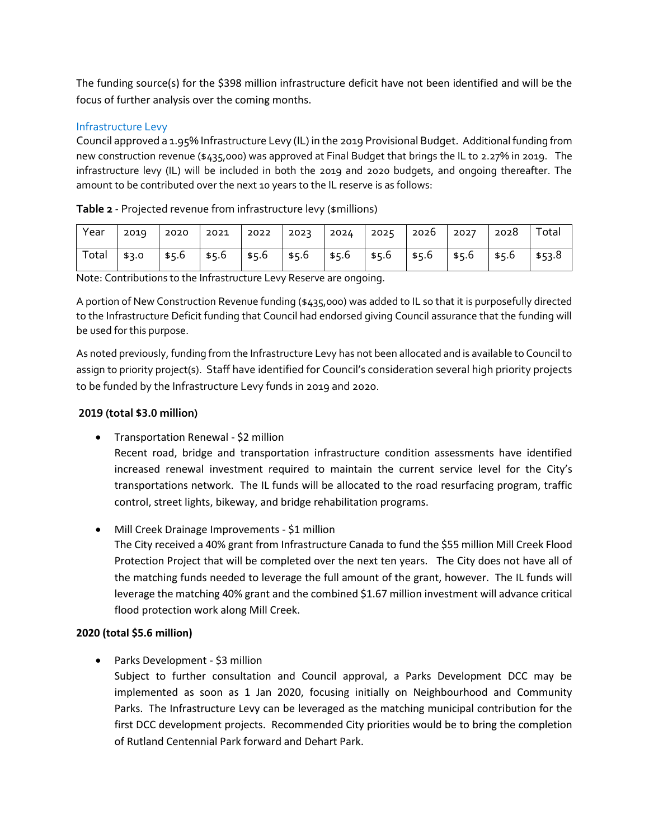The funding source(s) for the \$398 million infrastructure deficit have not been identified and will be the focus of further analysis over the coming months.

## Infrastructure Levy

Council approved a 1.95% Infrastructure Levy (IL) in the 2019 Provisional Budget. Additional funding from new construction revenue (\$435,000) was approved at Final Budget that brings the IL to 2.27% in 2019. The infrastructure levy (IL) will be included in both the 2019 and 2020 budgets, and ongoing thereafter. The amount to be contributed over the next 10 years to the IL reserve is as follows:

| Year  | 2019  |  |  | 2020   2021   2022   2023   2024   2025   2026   2027   2028                         |  | Total |
|-------|-------|--|--|--------------------------------------------------------------------------------------|--|-------|
| Total | \$3.0 |  |  | $\frac{1}{5}$ \$5.6 \ \$5.6 \ \$5.6 \ \$5.6 \ \$5.6 \ \$5.6 \ \$5.6 \ \$5.6 \ \$53.8 |  |       |

| Table 2 - Projected revenue from infrastructure levy (\$millions) |  |  |  |  |  |
|-------------------------------------------------------------------|--|--|--|--|--|
|-------------------------------------------------------------------|--|--|--|--|--|

Note: Contributions to the Infrastructure Levy Reserve are ongoing.

A portion of New Construction Revenue funding (\$435,000) was added to IL so that it is purposefully directed to the Infrastructure Deficit funding that Council had endorsed giving Council assurance that the funding will be used for this purpose.

As noted previously, funding from the Infrastructure Levy has not been allocated and is available to Council to assign to priority project(s). Staff have identified for Council's consideration several high priority projects to be funded by the Infrastructure Levy funds in 2019 and 2020.

## **2019 (total \$3.0 million)**

- Transportation Renewal \$2 million Recent road, bridge and transportation infrastructure condition assessments have identified increased renewal investment required to maintain the current service level for the City's transportations network. The IL funds will be allocated to the road resurfacing program, traffic control, street lights, bikeway, and bridge rehabilitation programs.
- Mill Creek Drainage Improvements \$1 million The City received a 40% grant from Infrastructure Canada to fund the \$55 million Mill Creek Flood Protection Project that will be completed over the next ten years. The City does not have all of the matching funds needed to leverage the full amount of the grant, however. The IL funds will leverage the matching 40% grant and the combined \$1.67 million investment will advance critical flood protection work along Mill Creek.

## **2020 (total \$5.6 million)**

• Parks Development - \$3 million

Subject to further consultation and Council approval, a Parks Development DCC may be implemented as soon as 1 Jan 2020, focusing initially on Neighbourhood and Community Parks. The Infrastructure Levy can be leveraged as the matching municipal contribution for the first DCC development projects. Recommended City priorities would be to bring the completion of Rutland Centennial Park forward and Dehart Park.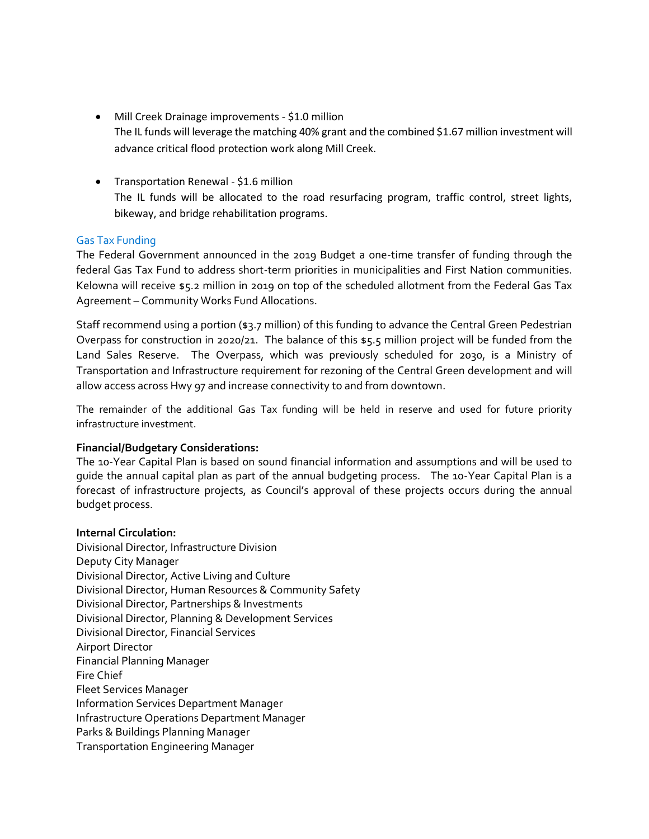- Mill Creek Drainage improvements \$1.0 million The IL funds will leverage the matching 40% grant and the combined \$1.67 million investment will advance critical flood protection work along Mill Creek.
- Transportation Renewal \$1.6 million The IL funds will be allocated to the road resurfacing program, traffic control, street lights, bikeway, and bridge rehabilitation programs.

## Gas Tax Funding

The Federal Government announced in the 2019 Budget a one-time transfer of funding through the federal Gas Tax Fund to address short-term priorities in municipalities and First Nation communities. Kelowna will receive \$5.2 million in 2019 on top of the scheduled allotment from the Federal Gas Tax Agreement – Community Works Fund Allocations.

Staff recommend using a portion (\$3.7 million) of this funding to advance the Central Green Pedestrian Overpass for construction in 2020/21. The balance of this \$5.5 million project will be funded from the Land Sales Reserve. The Overpass, which was previously scheduled for 2030, is a Ministry of Transportation and Infrastructure requirement for rezoning of the Central Green development and will allow access across Hwy 97 and increase connectivity to and from downtown.

The remainder of the additional Gas Tax funding will be held in reserve and used for future priority infrastructure investment.

## **Financial/Budgetary Considerations:**

The 10-Year Capital Plan is based on sound financial information and assumptions and will be used to guide the annual capital plan as part of the annual budgeting process. The 10-Year Capital Plan is a forecast of infrastructure projects, as Council's approval of these projects occurs during the annual budget process.

## **Internal Circulation:**

Divisional Director, Infrastructure Division Deputy City Manager Divisional Director, Active Living and Culture Divisional Director, Human Resources & Community Safety Divisional Director, Partnerships & Investments Divisional Director, Planning & Development Services Divisional Director, Financial Services Airport Director Financial Planning Manager Fire Chief Fleet Services Manager Information Services Department Manager Infrastructure Operations Department Manager Parks & Buildings Planning Manager Transportation Engineering Manager